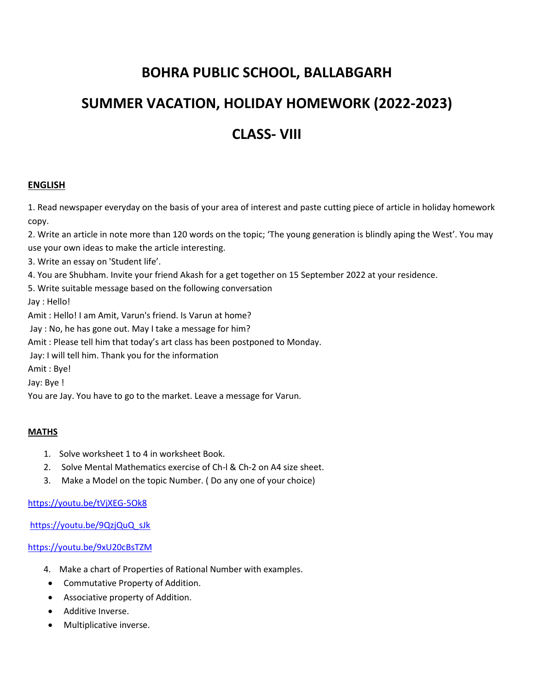# **BOHRA PUBLIC SCHOOL, BALLABGARH**

# **SUMMER VACATION, HOLIDAY HOMEWORK (2022-2023)**

# **CLASS- VIII**

### **ENGLISH**

1. Read newspaper everyday on the basis of your area of interest and paste cutting piece of article in holiday homework copy.

2. Write an article in note more than 120 words on the topic; 'The young generation is blindly aping the West'. You may use your own ideas to make the article interesting.

3. Write an essay on 'Student life'.

4. You are Shubham. Invite your friend Akash for a get together on 15 September 2022 at your residence.

5. Write suitable message based on the following conversation

Jay : Hello!

Amit : Hello! I am Amit, Varun's friend. Is Varun at home?

Jay : No, he has gone out. May I take a message for him?

Amit : Please tell him that today's art class has been postponed to Monday.

Jay: I will tell him. Thank you for the information

Amit : Bye!

Jay: Bye !

You are Jay. You have to go to the market. Leave a message for Varun.

#### **MATHS**

- 1. Solve worksheet 1 to 4 in worksheet Book.
- 2. Solve Mental Mathematics exercise of Ch-l & Ch-2 on A4 size sheet.
- 3. Make a Model on the topic Number. ( Do any one of your choice)

### <https://youtu.be/tVjXEG-5Ok8>

[https://youtu.be/9QzjQuQ\\_sJk](https://youtu.be/9QzjQuQ_sJk)

<https://youtu.be/9xU20cBsTZM>

- 4. Make a chart of Properties of Rational Number with examples.
- Commutative Property of Addition.
- Associative property of Addition.
- Additive Inverse.
- Multiplicative inverse.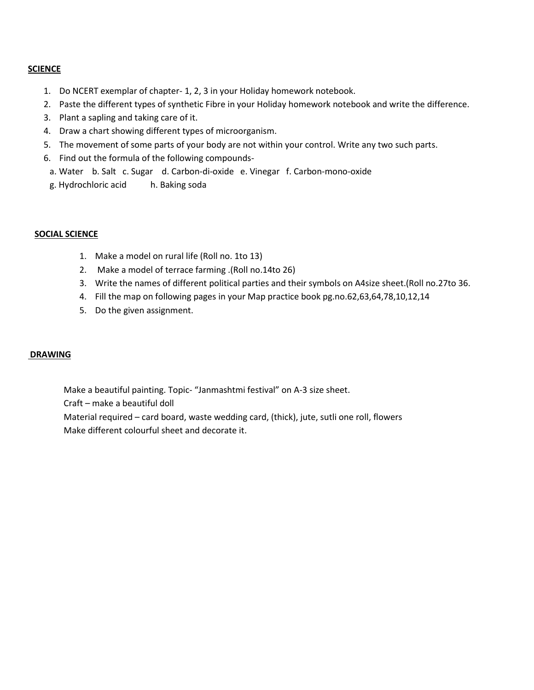#### **SCIENCE**

- 1. Do NCERT exemplar of chapter- 1, 2, 3 in your Holiday homework notebook.
- 2. Paste the different types of synthetic Fibre in your Holiday homework notebook and write the difference.
- 3. Plant a sapling and taking care of it.
- 4. Draw a chart showing different types of microorganism.
- 5. The movement of some parts of your body are not within your control. Write any two such parts.
- 6. Find out the formula of the following compounds
	- a. Water b. Salt c. Sugar d. Carbon-di-oxide e. Vinegar f. Carbon-mono-oxide
	- g. Hydrochloric acid h. Baking soda

#### **SOCIAL SCIENCE**

- 1. Make a model on rural life (Roll no. 1to 13)
- 2. Make a model of terrace farming .(Roll no.14to 26)
- 3. Write the names of different political parties and their symbols on A4size sheet.(Roll no.27to 36.
- 4. Fill the map on following pages in your Map practice book pg.no.62,63,64,78,10,12,14
- 5. Do the given assignment.

#### **DRAWING**

Make a beautiful painting. Topic- "Janmashtmi festival" on A-3 size sheet. Craft – make a beautiful doll Material required – card board, waste wedding card, (thick), jute, sutli one roll, flowers Make different colourful sheet and decorate it.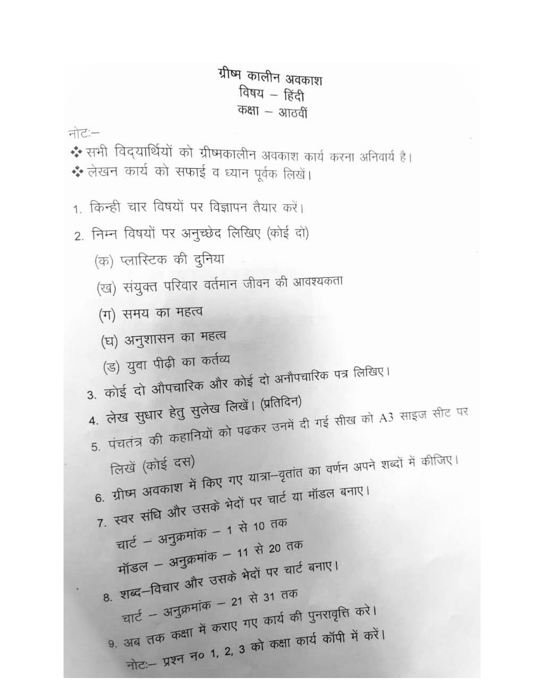ग्रीष्म कालीन अवकाश विषय - हिंदी कक्षा – आठवीं नोटः-\* सभी विद्यार्थियों को ग्रीष्मकालीन अवकाश कार्य करना अनिवार्य है। \* लेखन कार्य को सफाई व ध्यान पूर्वक लिखें। 1. किन्ही चार विषयों पर विज्ञापन तैयार करें। 2. निम्न विषयों पर अनुच्छेद लिखिए (कोई दो) (क) प्लास्टिक की दुनिया (ख) संयुक्त परिवार वर्तमान जीवन की आवश्यकता (ग) समय का महत्व (घ) अनुशासन का महत्व (ड) युवा पीढ़ी का कर्तव्य 3. कोई दो औपचारिक और कोई दो अनौपचारिक पत्र लिखिए। 4. लेख सुधार हेतु सुलेख लिखें। (प्रतिदिन) 5. पंचतंत्र की कहानियों को पढ़कर उनमें दी गई सीख को A3 साइज सीट पर 6. ग्रीष्म अवकाश में किए गए यात्रा-वृतांत का वर्णन अपने शब्दों में कीजिए। 7. स्वर संधि और उसके भेदों पर चार्ट या मॉडल बनाए। चार्ट - अनुक्रमांक - 1 से 10 तक मॉडल – अनुक्रमांक – 11 से 20 तक 8. शब्द-विचार और उसके भेदों पर चार्ट बनाए। चार्ट – अनुक्रमांक – 21 से 31 तक 9. अब तक कक्षा में कराए गए कार्य की पुनरावृत्ति करे। नोट:- प्रश्न न० 1, 2, 3 को कक्षा कार्य कॉपी में करें।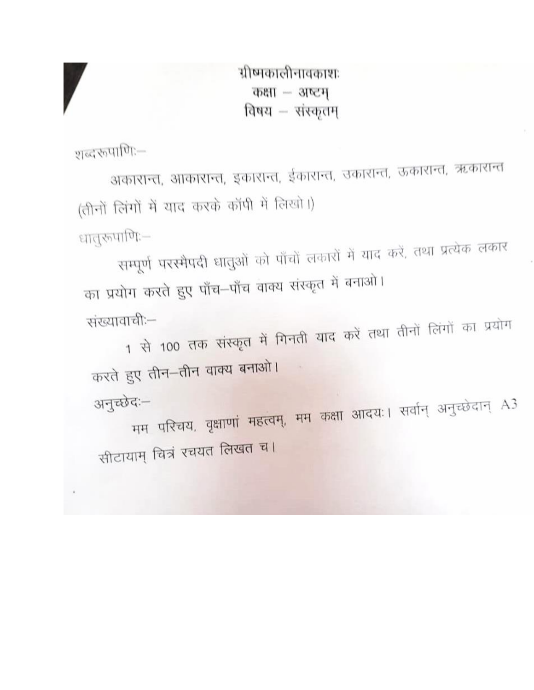ग्रीष्मकालीनावकाशः कक्षा - अष्टम विषय - संस्कृतम्

शब्दरूपाणि:—

अकारान्त, आकारान्त, इकारान्त, ईकारान्त, उकारान्त, ऊकारान्त, ऋकारान्त (तीनों लिंगों में याद करके कॉपी में लिखो।) धातुरूपाणिः—

सम्पूर्ण परस्मैपदी धातुओं को पाँचों लकारों में याद करें, तथा प्रत्येक लकार का प्रयोग करते हुए पाँच–पाँच वाक्य संस्कृत में बनाओ।

संख्यावाची:-1 से 100 तक संस्कृत में गिनती याद करें तथा तीनों लिंगों का प्रयोग

करते हुए तीन–तीन वाक्य बनाओ। अनुच्छेदः-मम परिचय, वृक्षाणां महत्वम्, मम कक्षा आदयः। सर्वान् अनुच्छेदान् A3 सीटायाम् चित्रं रचयत लिखत च।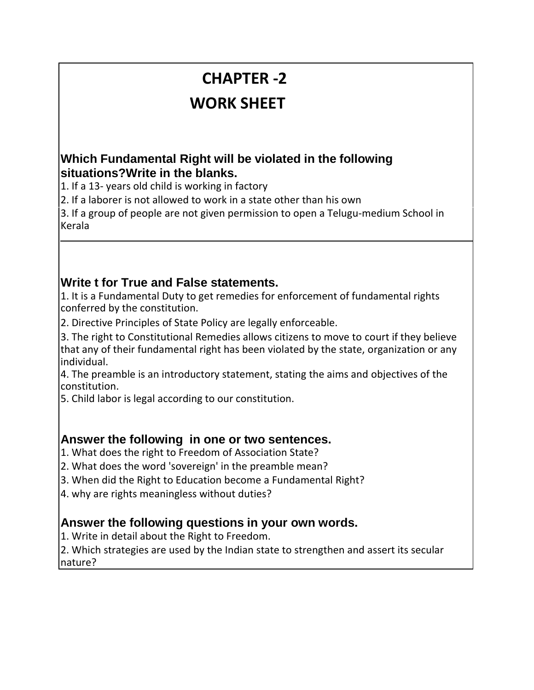# **CHAPTER -2 WORK SHEET**

### **A Which Fundamental Right will be violated in the following . situations?Write in the blanks.**

1. If a 13- years old child is working in factory

2. If a laborer is not allowed to work in a state other than his own

3. If a group of people are not given permission to open a Telugu-medium School in Kerala

### **Write t for True and False statements.**

1. It is a Fundamental Duty to get remedies for enforcement of fundamental rights conferred by the constitution.

2. Directive Principles of State Policy are legally enforceable.

3. The right to Constitutional Remedies allows citizens to move to court if they believe that any of their fundamental right has been violated by the state, organization or any individual.

4. The preamble is an introductory statement, stating the aims and objectives of the constitution.

5. Child labor is legal according to our constitution.

### **Answer . the following in one or two sentences.**

1. What does the right to Freedom of Association State?

2. What does the word 'sovereign' in the preamble mean?

3. When did the Right to Education become a Fundamental Right?

4. why are rights meaningless without duties?

### **Answer . the following questions in your own words.**

1. Write in detail about the Right to Freedom.

2. Which strategies are used by the Indian state to strengthen and assert its secular nature?